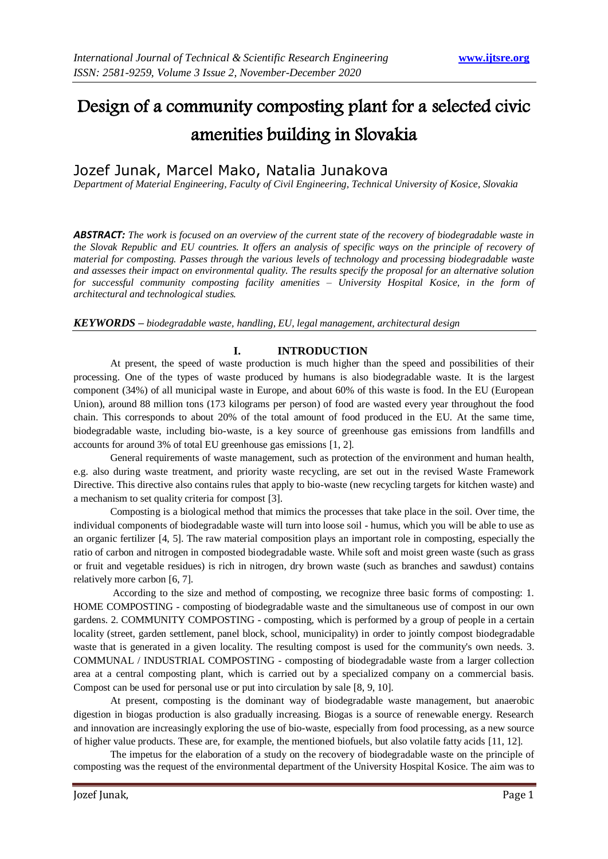# Design of a community composting plant for a selected civic amenities building in Slovakia

## Jozef Junak, Marcel Mako, Natalia Junakova

*Department of Material Engineering, Faculty of Civil Engineering, Technical University of Kosice, Slovakia*

*ABSTRACT: The work is focused on an overview of the current state of the recovery of biodegradable waste in the Slovak Republic and EU countries. It offers an analysis of specific ways on the principle of recovery of material for composting. Passes through the various levels of technology and processing biodegradable waste and assesses their impact on environmental quality. The results specify the proposal for an alternative solution for successful community composting facility amenities – University Hospital Kosice, in the form of architectural and technological studies.*

*KEYWORDS – biodegradable waste, handling, EU, legal management, architectural design*

### **I. INTRODUCTION**

At present, the speed of waste production is much higher than the speed and possibilities of their processing. One of the types of waste produced by humans is also biodegradable waste. It is the largest component (34%) of all municipal waste in Europe, and about 60% of this waste is food. In the EU (European Union), around 88 million tons (173 kilograms per person) of food are wasted every year throughout the food chain. This corresponds to about 20% of the total amount of food produced in the EU. At the same time, biodegradable waste, including bio-waste, is a key source of greenhouse gas emissions from landfills and accounts for around 3% of total EU greenhouse gas emissions [1, 2].

General requirements of waste management, such as protection of the environment and human health, e.g. also during waste treatment, and priority waste recycling, are set out in the revised Waste Framework Directive. This directive also contains rules that apply to bio-waste (new recycling targets for kitchen waste) and a mechanism to set quality criteria for compost [3].

Composting is a biological method that mimics the processes that take place in the soil. Over time, the individual components of biodegradable waste will turn into loose soil - humus, which you will be able to use as an organic fertilizer [4, 5]. The raw material composition plays an important role in composting, especially the ratio of carbon and nitrogen in composted biodegradable waste. While soft and moist green waste (such as grass or fruit and vegetable residues) is rich in nitrogen, dry brown waste (such as branches and sawdust) contains relatively more carbon [6, 7].

According to the size and method of composting, we recognize three basic forms of composting: 1. HOME COMPOSTING - composting of biodegradable waste and the simultaneous use of compost in our own gardens. 2. COMMUNITY COMPOSTING - composting, which is performed by a group of people in a certain locality (street, garden settlement, panel block, school, municipality) in order to jointly compost biodegradable waste that is generated in a given locality. The resulting compost is used for the community's own needs. 3. COMMUNAL / INDUSTRIAL COMPOSTING - composting of biodegradable waste from a larger collection area at a central composting plant, which is carried out by a specialized company on a commercial basis. Compost can be used for personal use or put into circulation by sale [8, 9, 10].

At present, composting is the dominant way of biodegradable waste management, but anaerobic digestion in biogas production is also gradually increasing. Biogas is a source of renewable energy. Research and innovation are increasingly exploring the use of bio-waste, especially from food processing, as a new source of higher value products. These are, for example, the mentioned biofuels, but also volatile fatty acids [11, 12].

The impetus for the elaboration of a study on the recovery of biodegradable waste on the principle of composting was the request of the environmental department of the University Hospital Kosice. The aim was to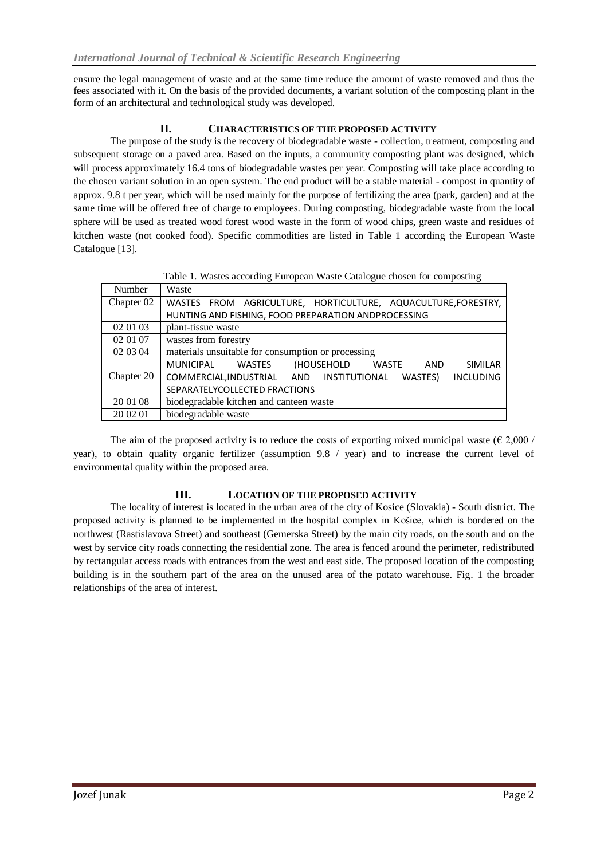ensure the legal management of waste and at the same time reduce the amount of waste removed and thus the fees associated with it. On the basis of the provided documents, a variant solution of the composting plant in the form of an architectural and technological study was developed.

#### **II. CHARACTERISTICS OF THE PROPOSED ACTIVITY**

The purpose of the study is the recovery of biodegradable waste - collection, treatment, composting and subsequent storage on a paved area. Based on the inputs, a community composting plant was designed, which will process approximately 16.4 tons of biodegradable wastes per year. Composting will take place according to the chosen variant solution in an open system. The end product will be a stable material - compost in quantity of approx. 9.8 t per year, which will be used mainly for the purpose of fertilizing the area (park, garden) and at the same time will be offered free of charge to employees. During composting, biodegradable waste from the local sphere will be used as treated wood forest wood waste in the form of wood chips, green waste and residues of kitchen waste (not cooked food). Specific commodities are listed in Table 1 according the European Waste Catalogue [13].

|  | Table 1. Wastes according European Waste Catalogue chosen for composting |  |  |
|--|--------------------------------------------------------------------------|--|--|
|  |                                                                          |  |  |
|  |                                                                          |  |  |

| Number     | Waste                                                                   |  |  |  |  |  |  |
|------------|-------------------------------------------------------------------------|--|--|--|--|--|--|
| Chapter 02 | WASTES FROM AGRICULTURE, HORTICULTURE, AQUACULTURE, FORESTRY,           |  |  |  |  |  |  |
|            | HUNTING AND FISHING, FOOD PREPARATION ANDPROCESSING                     |  |  |  |  |  |  |
| 02 01 03   | plant-tissue waste                                                      |  |  |  |  |  |  |
| 02 01 07   | wastes from forestry                                                    |  |  |  |  |  |  |
| 02 03 04   | materials unsuitable for consumption or processing                      |  |  |  |  |  |  |
|            | (HOUSEHOLD WASTE<br>MUNICIPAL<br><b>SIMILAR</b><br>WASTES<br>AND        |  |  |  |  |  |  |
| Chapter 20 | COMMERCIAL, INDUSTRIAL AND INSTITUTIONAL<br>WASTES)<br><b>INCLUDING</b> |  |  |  |  |  |  |
|            | SEPARATELYCOLLECTED FRACTIONS                                           |  |  |  |  |  |  |
| 20 01 08   | biodegradable kitchen and canteen waste                                 |  |  |  |  |  |  |
| 20 02 01   | biodegradable waste                                                     |  |  |  |  |  |  |

The aim of the proposed activity is to reduce the costs of exporting mixed municipal waste ( $\epsilon$  2,000 / year), to obtain quality organic fertilizer (assumption 9.8 / year) and to increase the current level of environmental quality within the proposed area.

#### **III. LOCATION OF THE PROPOSED ACTIVITY**

The locality of interest is located in the urban area of the city of Kosice (Slovakia) - South district. The proposed activity is planned to be implemented in the hospital complex in Košice, which is bordered on the northwest (Rastislavova Street) and southeast (Gemerska Street) by the main city roads, on the south and on the west by service city roads connecting the residential zone. The area is fenced around the perimeter, redistributed by rectangular access roads with entrances from the west and east side. The proposed location of the composting building is in the southern part of the area on the unused area of the potato warehouse. Fig. 1 the broader relationships of the area of interest.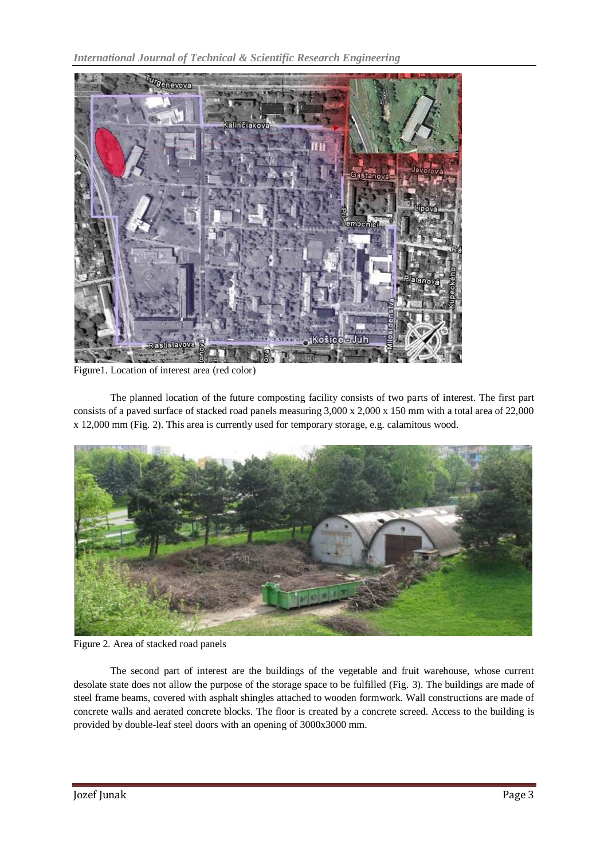

Figure1. Location of interest area (red color)

The planned location of the future composting facility consists of two parts of interest. The first part consists of a paved surface of stacked road panels measuring 3,000 x 2,000 x 150 mm with a total area of 22,000 x 12,000 mm (Fig. 2). This area is currently used for temporary storage, e.g. calamitous wood.



Figure 2. Area of stacked road panels

The second part of interest are the buildings of the vegetable and fruit warehouse, whose current desolate state does not allow the purpose of the storage space to be fulfilled (Fig. 3). The buildings are made of steel frame beams, covered with asphalt shingles attached to wooden formwork. Wall constructions are made of concrete walls and aerated concrete blocks. The floor is created by a concrete screed. Access to the building is provided by double-leaf steel doors with an opening of 3000x3000 mm.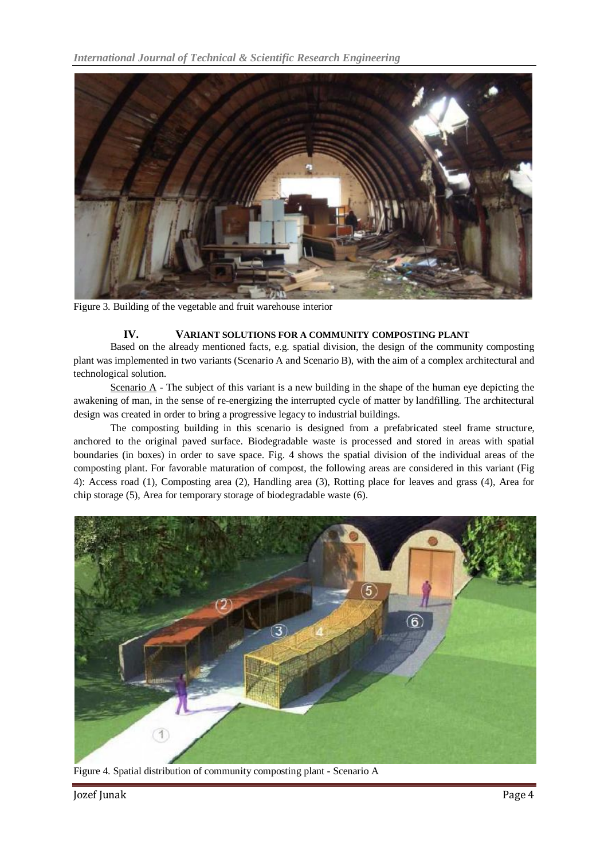

Figure 3. Building of the vegetable and fruit warehouse interior

#### **IV. VARIANT SOLUTIONS FOR A COMMUNITY COMPOSTING PLANT**

Based on the already mentioned facts, e.g. spatial division, the design of the community composting plant was implemented in two variants (Scenario A and Scenario B), with the aim of a complex architectural and technological solution.

Scenario  $\overline{A}$  - The subject of this variant is a new building in the shape of the human eye depicting the awakening of man, in the sense of re-energizing the interrupted cycle of matter by landfilling. The architectural design was created in order to bring a progressive legacy to industrial buildings.

The composting building in this scenario is designed from a prefabricated steel frame structure, anchored to the original paved surface. Biodegradable waste is processed and stored in areas with spatial boundaries (in boxes) in order to save space. Fig. 4 shows the spatial division of the individual areas of the composting plant. For favorable maturation of compost, the following areas are considered in this variant (Fig 4): Access road (1), Composting area (2), Handling area (3), Rotting place for leaves and grass (4), Area for chip storage (5), Area for temporary storage of biodegradable waste (6).



Figure 4. Spatial distribution of community composting plant - Scenario A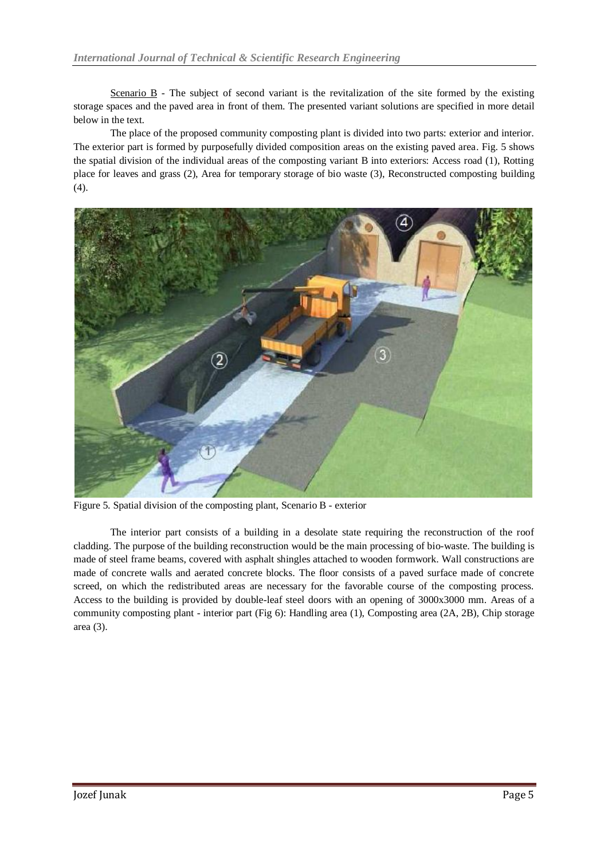Scenario B - The subject of second variant is the revitalization of the site formed by the existing storage spaces and the paved area in front of them. The presented variant solutions are specified in more detail below in the text.

The place of the proposed community composting plant is divided into two parts: exterior and interior. The exterior part is formed by purposefully divided composition areas on the existing paved area. Fig. 5 shows the spatial division of the individual areas of the composting variant B into exteriors: Access road (1), Rotting place for leaves and grass (2), Area for temporary storage of bio waste (3), Reconstructed composting building (4).



Figure 5. Spatial division of the composting plant, Scenario B - exterior

The interior part consists of a building in a desolate state requiring the reconstruction of the roof cladding. The purpose of the building reconstruction would be the main processing of bio-waste. The building is made of steel frame beams, covered with asphalt shingles attached to wooden formwork. Wall constructions are made of concrete walls and aerated concrete blocks. The floor consists of a paved surface made of concrete screed, on which the redistributed areas are necessary for the favorable course of the composting process. Access to the building is provided by double-leaf steel doors with an opening of 3000x3000 mm. Areas of a community composting plant - interior part (Fig 6): Handling area (1), Composting area (2A, 2B), Chip storage area (3).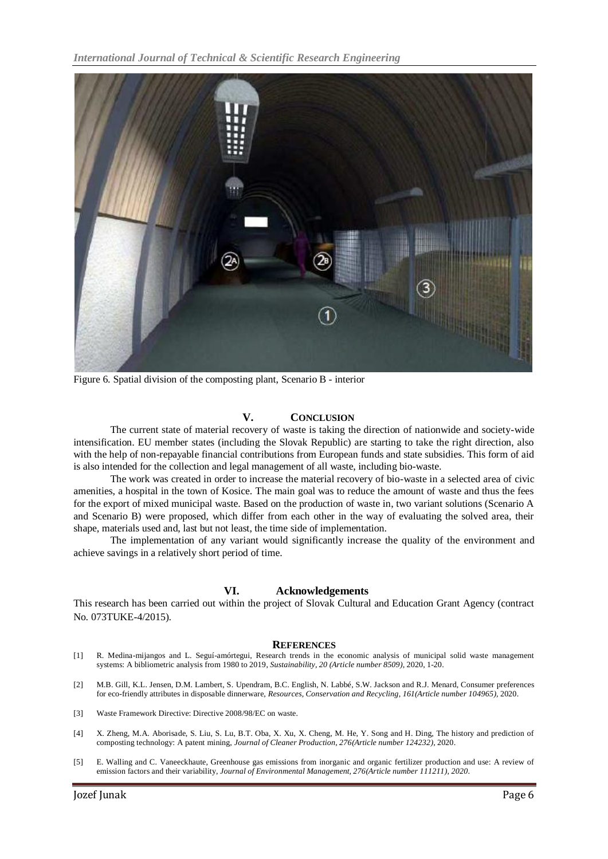

Figure 6. Spatial division of the composting plant, Scenario B - interior

#### **V. CONCLUSION**

The current state of material recovery of waste is taking the direction of nationwide and society-wide intensification. EU member states (including the Slovak Republic) are starting to take the right direction, also with the help of non-repayable financial contributions from European funds and state subsidies. This form of aid is also intended for the collection and legal management of all waste, including bio-waste.

The work was created in order to increase the material recovery of bio-waste in a selected area of civic amenities, a hospital in the town of Kosice. The main goal was to reduce the amount of waste and thus the fees for the export of mixed municipal waste. Based on the production of waste in, two variant solutions (Scenario A and Scenario B) were proposed, which differ from each other in the way of evaluating the solved area, their shape, materials used and, last but not least, the time side of implementation.

The implementation of any variant would significantly increase the quality of the environment and achieve savings in a relatively short period of time.

#### **VI. Acknowledgements**

This research has been carried out within the project of Slovak Cultural and Education Grant Agency (contract No. 073TUKE-4/2015).

#### **REFERENCES**

- [1] R. Medina-mijangos and L. Seguí-amórtegui, Research trends in the economic analysis of municipal solid waste management systems: A bibliometric analysis from 1980 to 2019, *Sustainability, 20 (Article number 8509),* 2020, 1-20.
- [2] M.B. Gill, K.L. Jensen, D.M. Lambert, S. Upendram, B.C. English, N. Labbé, S.W. Jackson and R.J. Menard, Consumer preferences for eco-friendly attributes in disposable dinnerware, *Resources, Conservation and Recycling*, *161(Article number 104965),* 2020.
- [3] Waste Framework Directive: Directive 2008/98/EC on waste.
- [4] X. Zheng, M.A. Aborisade, S. Liu, S. Lu, B.T. Oba, X. Xu, X. Cheng, M. He, Y. Song and H. Ding, The history and prediction of composting technology: A patent mining, *Journal of Cleaner Production, 276(Article number 124232),* 2020.
- [5] E. Walling and C. Vaneeckhaute, Greenhouse gas emissions from inorganic and organic fertilizer production and use: A review of emission factors and their variability, *Journal of Environmental Management, 276(Article number 111211), 2020*.